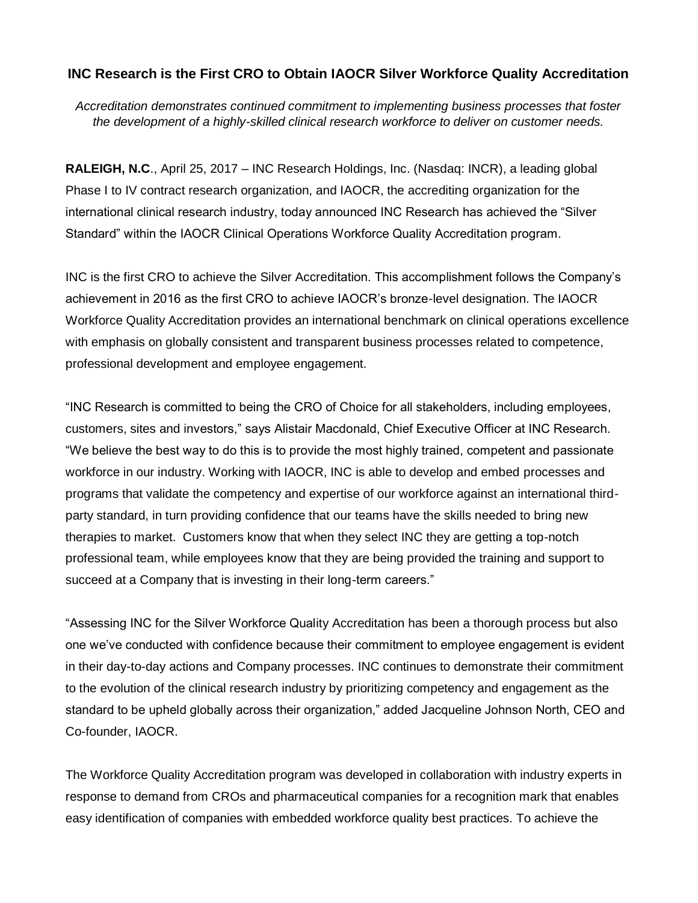# **INC Research is the First CRO to Obtain IAOCR Silver Workforce Quality Accreditation**

*Accreditation demonstrates continued commitment to implementing business processes that foster the development of a highly-skilled clinical research workforce to deliver on customer needs.*

**RALEIGH, N.C**., April 25, 2017 – INC Research Holdings, Inc. (Nasdaq: INCR), a leading global Phase I to IV contract research organization, and IAOCR, the accrediting organization for the international clinical research industry, today announced INC Research has achieved the "Silver Standard" within the IAOCR Clinical Operations Workforce Quality Accreditation program.

INC is the first CRO to achieve the Silver Accreditation. This accomplishment follows the Company's achievement in 2016 as the first CRO to achieve IAOCR's bronze-level designation. The IAOCR Workforce Quality Accreditation provides an international benchmark on clinical operations excellence with emphasis on globally consistent and transparent business processes related to competence, professional development and employee engagement.

"INC Research is committed to being the CRO of Choice for all stakeholders, including employees, customers, sites and investors," says Alistair Macdonald, Chief Executive Officer at INC Research. "We believe the best way to do this is to provide the most highly trained, competent and passionate workforce in our industry. Working with IAOCR, INC is able to develop and embed processes and programs that validate the competency and expertise of our workforce against an international thirdparty standard, in turn providing confidence that our teams have the skills needed to bring new therapies to market. Customers know that when they select INC they are getting a top-notch professional team, while employees know that they are being provided the training and support to succeed at a Company that is investing in their long-term careers."

"Assessing INC for the Silver Workforce Quality Accreditation has been a thorough process but also one we've conducted with confidence because their commitment to employee engagement is evident in their day-to-day actions and Company processes. INC continues to demonstrate their commitment to the evolution of the clinical research industry by prioritizing competency and engagement as the standard to be upheld globally across their organization," added Jacqueline Johnson North, CEO and Co-founder, IAOCR.

The Workforce Quality Accreditation program was developed in collaboration with industry experts in response to demand from CROs and pharmaceutical companies for a recognition mark that enables easy identification of companies with embedded workforce quality best practices. To achieve the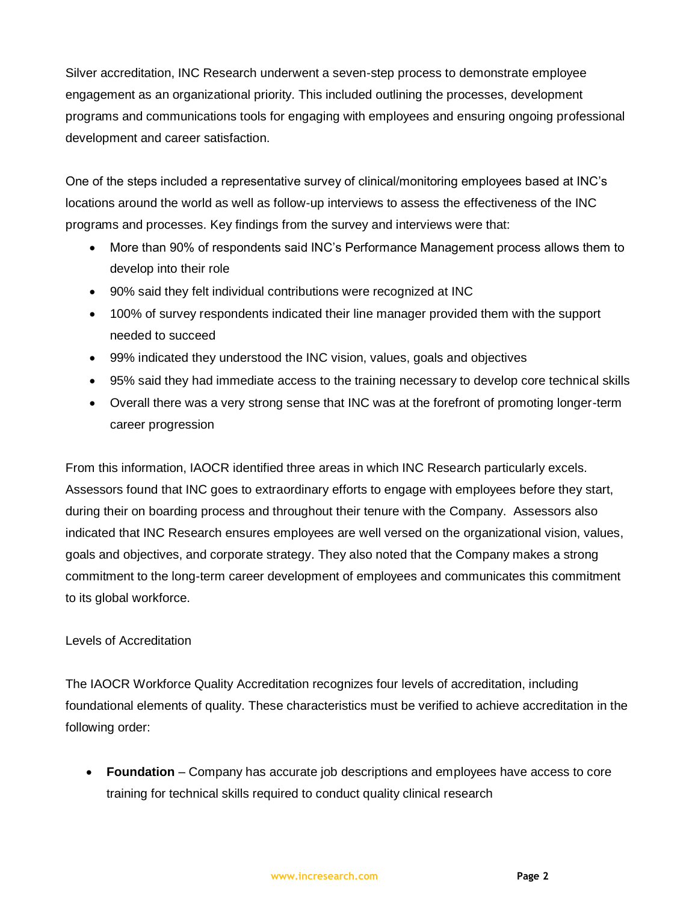Silver accreditation, INC Research underwent a seven-step process to demonstrate employee engagement as an organizational priority. This included outlining the processes, development programs and communications tools for engaging with employees and ensuring ongoing professional development and career satisfaction.

One of the steps included a representative survey of clinical/monitoring employees based at INC's locations around the world as well as follow-up interviews to assess the effectiveness of the INC programs and processes. Key findings from the survey and interviews were that:

- More than 90% of respondents said INC's Performance Management process allows them to develop into their role
- 90% said they felt individual contributions were recognized at INC
- 100% of survey respondents indicated their line manager provided them with the support needed to succeed
- 99% indicated they understood the INC vision, values, goals and objectives
- 95% said they had immediate access to the training necessary to develop core technical skills
- Overall there was a very strong sense that INC was at the forefront of promoting longer-term career progression

From this information, IAOCR identified three areas in which INC Research particularly excels. Assessors found that INC goes to extraordinary efforts to engage with employees before they start, during their on boarding process and throughout their tenure with the Company. Assessors also indicated that INC Research ensures employees are well versed on the organizational vision, values, goals and objectives, and corporate strategy. They also noted that the Company makes a strong commitment to the long-term career development of employees and communicates this commitment to its global workforce.

## Levels of Accreditation

The IAOCR Workforce Quality Accreditation recognizes four levels of accreditation, including foundational elements of quality. These characteristics must be verified to achieve accreditation in the following order:

• **Foundation** – Company has accurate job descriptions and employees have access to core training for technical skills required to conduct quality clinical research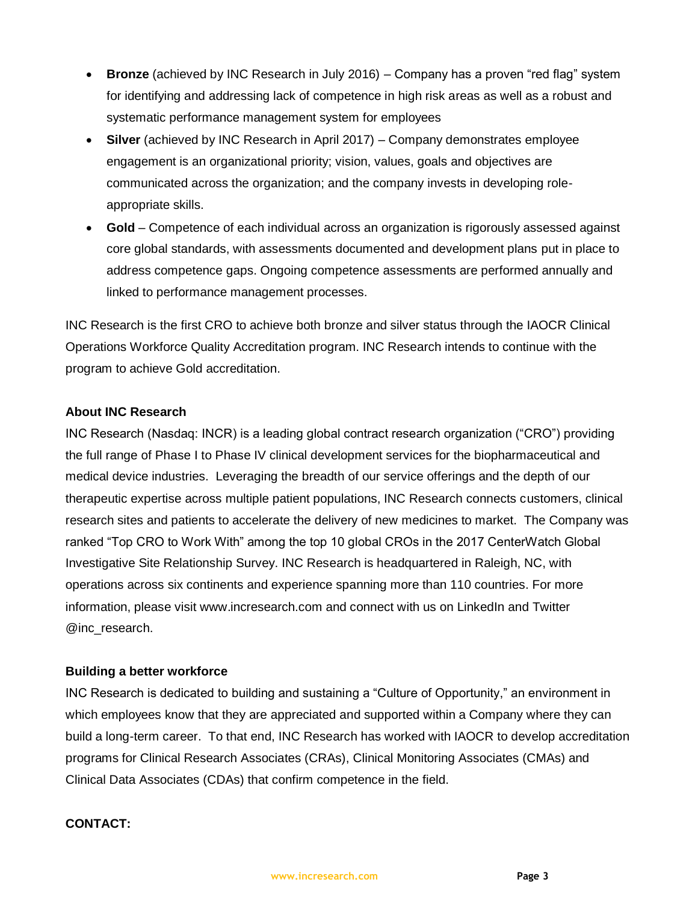- **Bronze** (achieved by INC Research in July 2016) Company has a proven "red flag" system for identifying and addressing lack of competence in high risk areas as well as a robust and systematic performance management system for employees
- **Silver** (achieved by INC Research in April 2017) Company demonstrates employee engagement is an organizational priority; vision, values, goals and objectives are communicated across the organization; and the company invests in developing roleappropriate skills.
- **Gold**  Competence of each individual across an organization is rigorously assessed against core global standards, with assessments documented and development plans put in place to address competence gaps. Ongoing competence assessments are performed annually and linked to performance management processes.

INC Research is the first CRO to achieve both bronze and silver status through the IAOCR Clinical Operations Workforce Quality Accreditation program. INC Research intends to continue with the program to achieve Gold accreditation.

### **About INC Research**

INC Research (Nasdaq: INCR) is a leading global contract research organization ("CRO") providing the full range of Phase I to Phase IV clinical development services for the biopharmaceutical and medical device industries. Leveraging the breadth of our service offerings and the depth of our therapeutic expertise across multiple patient populations, INC Research connects customers, clinical research sites and patients to accelerate the delivery of new medicines to market. The Company was ranked "Top CRO to Work With" among the top 10 global CROs in the 2017 CenterWatch Global Investigative Site Relationship Survey. INC Research is headquartered in Raleigh, NC, with operations across six continents and experience spanning more than 110 countries. For more information, please visit www.incresearch.com and connect with us on LinkedIn and Twitter @inc\_research.

#### **Building a better workforce**

INC Research is dedicated to building and sustaining a "Culture of Opportunity," an environment in which employees know that they are appreciated and supported within a Company where they can build a long-term career. To that end, INC Research has worked with IAOCR to develop accreditation programs for Clinical Research Associates (CRAs), Clinical Monitoring Associates (CMAs) and Clinical Data Associates (CDAs) that confirm competence in the field.

#### **CONTACT:**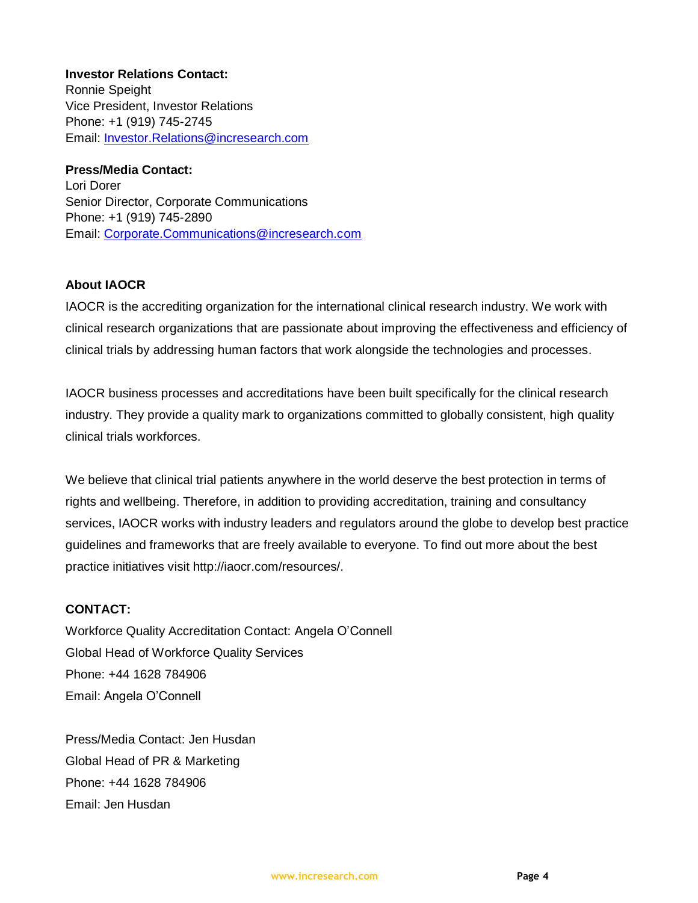**Investor Relations Contact:** Ronnie Speight Vice President, Investor Relations Phone: +1 (919) 745-2745 Email: Investor.Relations@incresearch.com

### **Press/Media Contact:**

Lori Dorer Senior Director, Corporate Communications Phone: +1 (919) 745-2890 Email: Corporate.Communications@incresearch.com

## **About IAOCR**

IAOCR is the accrediting organization for the international clinical research industry. We work with clinical research organizations that are passionate about improving the effectiveness and efficiency of clinical trials by addressing human factors that work alongside the technologies and processes.

IAOCR business processes and accreditations have been built specifically for the clinical research industry. They provide a quality mark to organizations committed to globally consistent, high quality clinical trials workforces.

We believe that clinical trial patients anywhere in the world deserve the best protection in terms of rights and wellbeing. Therefore, in addition to providing accreditation, training and consultancy services, IAOCR works with industry leaders and regulators around the globe to develop best practice guidelines and frameworks that are freely available to everyone. To find out more about the best practice initiatives visit http://iaocr.com/resources/.

### **CONTACT:**

Workforce Quality Accreditation Contact: Angela O'Connell Global Head of Workforce Quality Services Phone: +44 1628 784906 Email: Angela O'Connell

Press/Media Contact: Jen Husdan Global Head of PR & Marketing Phone: +44 1628 784906 Email: Jen Husdan